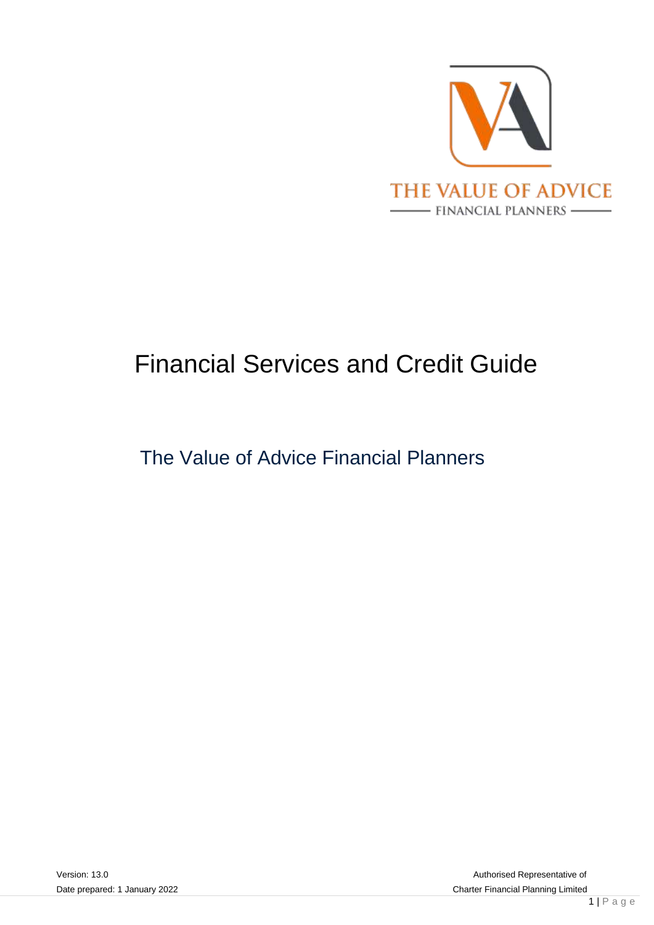

# Financial Services and Credit Guide

## The Value of Advice Financial Planners

Date prepared: 1 January 2022 **Charter Financial Planning Limited** Authorised Representative of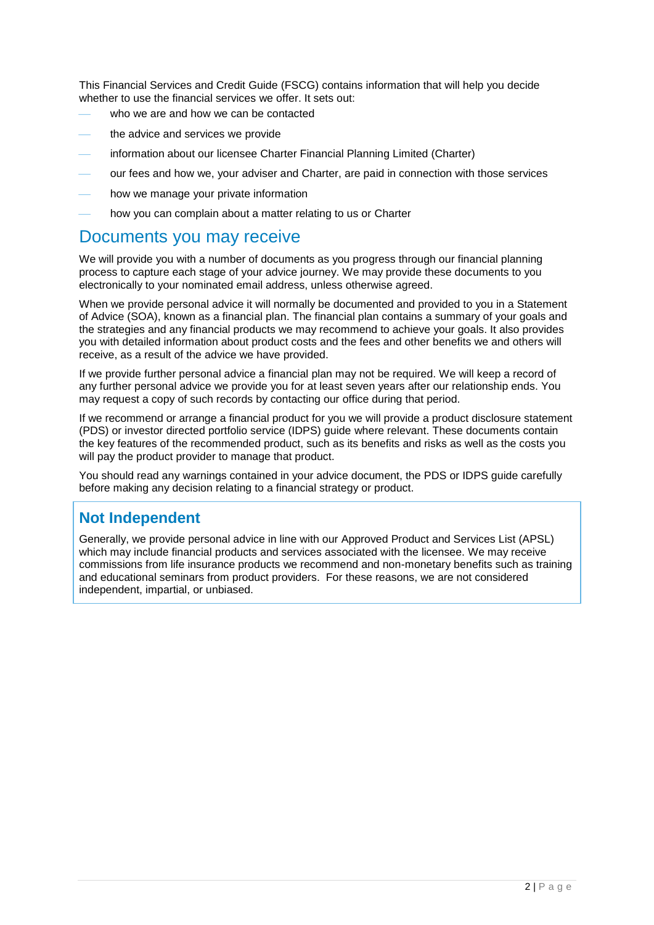This Financial Services and Credit Guide (FSCG) contains information that will help you decide whether to use the financial services we offer. It sets out:

- who we are and how we can be contacted
- the advice and services we provide
- information about our licensee Charter Financial Planning Limited (Charter)
- our fees and how we, your adviser and Charter, are paid in connection with those services
- how we manage your private information
- how you can complain about a matter relating to us or Charter

## Documents you may receive

We will provide you with a number of documents as you progress through our financial planning process to capture each stage of your advice journey. We may provide these documents to you electronically to your nominated email address, unless otherwise agreed.

When we provide personal advice it will normally be documented and provided to you in a Statement of Advice (SOA), known as a financial plan. The financial plan contains a summary of your goals and the strategies and any financial products we may recommend to achieve your goals. It also provides you with detailed information about product costs and the fees and other benefits we and others will receive, as a result of the advice we have provided.

If we provide further personal advice a financial plan may not be required. We will keep a record of any further personal advice we provide you for at least seven years after our relationship ends. You may request a copy of such records by contacting our office during that period.

If we recommend or arrange a financial product for you we will provide a product disclosure statement (PDS) or investor directed portfolio service (IDPS) guide where relevant. These documents contain the key features of the recommended product, such as its benefits and risks as well as the costs you will pay the product provider to manage that product.

You should read any warnings contained in your advice document, the PDS or IDPS guide carefully before making any decision relating to a financial strategy or product.

### **Not Independent**

Generally, we provide personal advice in line with our Approved Product and Services List (APSL) which may include financial products and services associated with the licensee. We may receive commissions from life insurance products we recommend and non-monetary benefits such as training and educational seminars from product providers. For these reasons, we are not considered independent, impartial, or unbiased.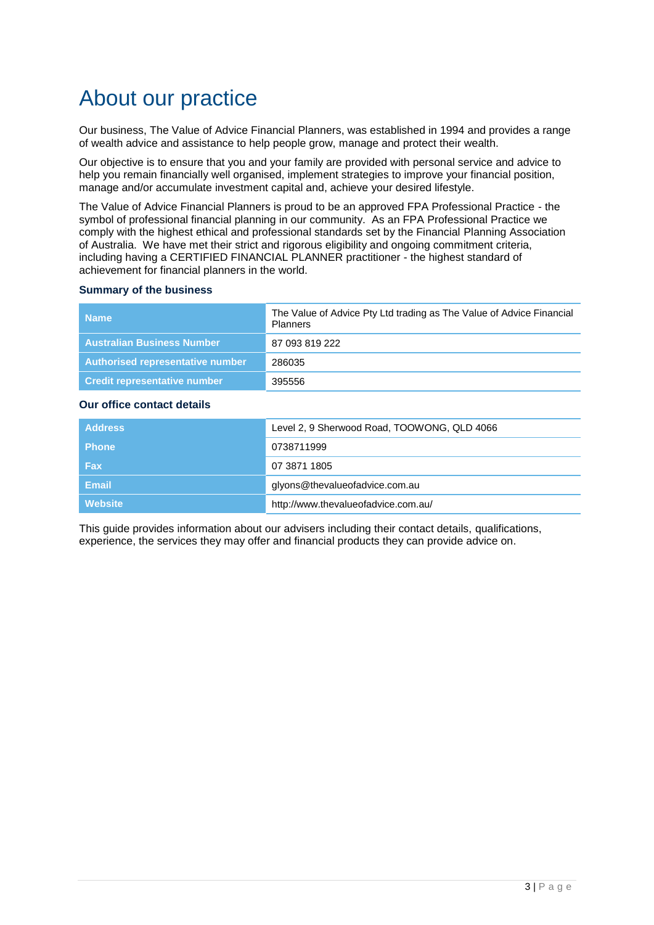## About our practice

Our business, The Value of Advice Financial Planners, was established in 1994 and provides a range of wealth advice and assistance to help people grow, manage and protect their wealth.

Our objective is to ensure that you and your family are provided with personal service and advice to help you remain financially well organised, implement strategies to improve your financial position, manage and/or accumulate investment capital and, achieve your desired lifestyle.

The Value of Advice Financial Planners is proud to be an approved FPA Professional Practice - the symbol of professional financial planning in our community. As an FPA Professional Practice we comply with the highest ethical and professional standards set by the Financial Planning Association of Australia. We have met their strict and rigorous eligibility and ongoing commitment criteria, including having a CERTIFIED FINANCIAL PLANNER practitioner - the highest standard of achievement for financial planners in the world.

#### **Summary of the business**

| <b>Name</b>                         | The Value of Advice Pty Ltd trading as The Value of Advice Financial<br><b>Planners</b> |
|-------------------------------------|-----------------------------------------------------------------------------------------|
| <b>Australian Business Number</b>   | 87 093 819 222                                                                          |
| Authorised representative number    | 286035                                                                                  |
| <b>Credit representative number</b> | 395556                                                                                  |

#### **Our office contact details**

| <b>Address</b> | Level 2, 9 Sherwood Road, TOOWONG, QLD 4066 |
|----------------|---------------------------------------------|
| <b>Phone</b>   | 0738711999                                  |
| <b>Fax</b>     | 07 3871 1805                                |
| <b>Email</b>   | glyons@thevalueofadvice.com.au              |
| <b>Website</b> | http://www.thevalueofadvice.com.au/         |

This guide provides information about our advisers including their contact details, qualifications, experience, the services they may offer and financial products they can provide advice on.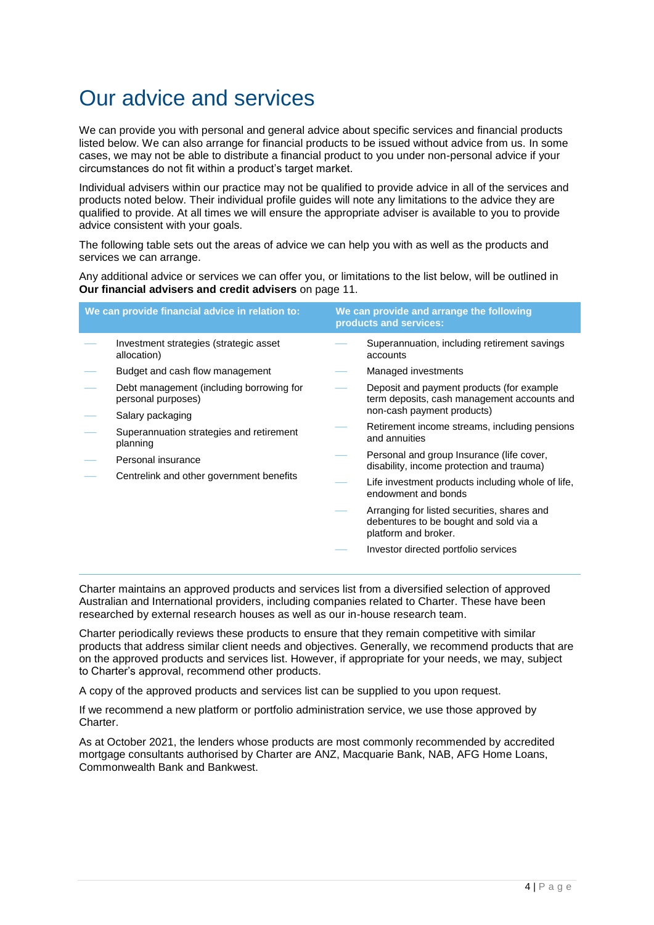## Our advice and services

We can provide you with personal and general advice about specific services and financial products listed below. We can also arrange for financial products to be issued without advice from us. In some cases, we may not be able to distribute a financial product to you under non-personal advice if your circumstances do not fit within a product's target market.

Individual advisers within our practice may not be qualified to provide advice in all of the services and products noted below. Their individual profile guides will note any limitations to the advice they are qualified to provide. At all times we will ensure the appropriate adviser is available to you to provide advice consistent with your goals.

The following table sets out the areas of advice we can help you with as well as the products and services we can arrange.

Any additional advice or services we can offer you, or limitations to the list below, will be outlined in **Our financial advisers and credit advisers** on page [11.](#page-10-0)

| We can provide financial advice in relation to:      |                                                                |                                                                          | We can provide and arrange the following<br>products and services:                                            |  |  |
|------------------------------------------------------|----------------------------------------------------------------|--------------------------------------------------------------------------|---------------------------------------------------------------------------------------------------------------|--|--|
|                                                      | Investment strategies (strategic asset<br>allocation)          |                                                                          | Superannuation, including retirement savings<br>accounts                                                      |  |  |
|                                                      | Budget and cash flow management                                |                                                                          | Managed investments                                                                                           |  |  |
|                                                      | Debt management (including borrowing for<br>personal purposes) |                                                                          | Deposit and payment products (for example<br>term deposits, cash management accounts and                      |  |  |
|                                                      | Salary packaging                                               |                                                                          | non-cash payment products)                                                                                    |  |  |
| Superannuation strategies and retirement<br>planning |                                                                | Retirement income streams, including pensions<br>and annuities           |                                                                                                               |  |  |
|                                                      | Personal insurance                                             |                                                                          | Personal and group Insurance (life cover,<br>disability, income protection and trauma)                        |  |  |
| Centrelink and other government benefits             |                                                                | Life investment products including whole of life,<br>endowment and bonds |                                                                                                               |  |  |
|                                                      |                                                                |                                                                          | Arranging for listed securities, shares and<br>debentures to be bought and sold via a<br>platform and broker. |  |  |
|                                                      |                                                                |                                                                          | Investor directed portfolio services                                                                          |  |  |

Charter maintains an approved products and services list from a diversified selection of approved Australian and International providers, including companies related to Charter. These have been researched by external research houses as well as our in-house research team.

Charter periodically reviews these products to ensure that they remain competitive with similar products that address similar client needs and objectives. Generally, we recommend products that are on the approved products and services list. However, if appropriate for your needs, we may, subject to Charter's approval, recommend other products.

A copy of the approved products and services list can be supplied to you upon request.

If we recommend a new platform or portfolio administration service, we use those approved by Charter.

As at October 2021, the lenders whose products are most commonly recommended by accredited mortgage consultants authorised by Charter are ANZ, Macquarie Bank, NAB, AFG Home Loans, Commonwealth Bank and Bankwest.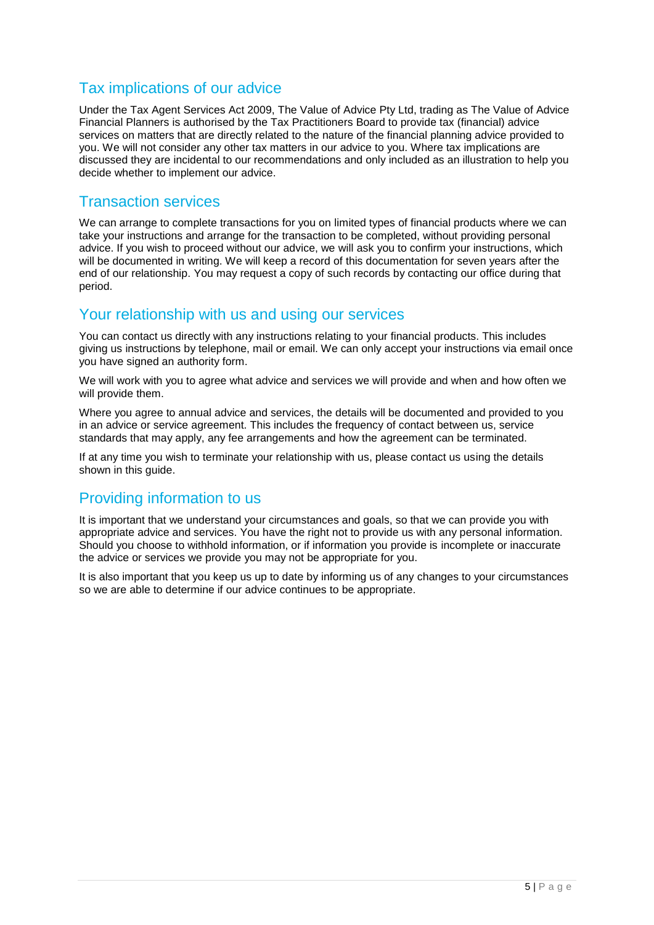### Tax implications of our advice

Under the Tax Agent Services Act 2009, The Value of Advice Pty Ltd, trading as The Value of Advice Financial Planners is authorised by the Tax Practitioners Board to provide tax (financial) advice services on matters that are directly related to the nature of the financial planning advice provided to you. We will not consider any other tax matters in our advice to you. Where tax implications are discussed they are incidental to our recommendations and only included as an illustration to help you decide whether to implement our advice.

### Transaction services

We can arrange to complete transactions for you on limited types of financial products where we can take your instructions and arrange for the transaction to be completed, without providing personal advice. If you wish to proceed without our advice, we will ask you to confirm your instructions, which will be documented in writing. We will keep a record of this documentation for seven years after the end of our relationship. You may request a copy of such records by contacting our office during that period.

### Your relationship with us and using our services

You can contact us directly with any instructions relating to your financial products. This includes giving us instructions by telephone, mail or email. We can only accept your instructions via email once you have signed an authority form.

We will work with you to agree what advice and services we will provide and when and how often we will provide them.

Where you agree to annual advice and services, the details will be documented and provided to you in an advice or service agreement. This includes the frequency of contact between us, service standards that may apply, any fee arrangements and how the agreement can be terminated.

If at any time you wish to terminate your relationship with us, please contact us using the details shown in this guide.

### Providing information to us

It is important that we understand your circumstances and goals, so that we can provide you with appropriate advice and services. You have the right not to provide us with any personal information. Should you choose to withhold information, or if information you provide is incomplete or inaccurate the advice or services we provide you may not be appropriate for you.

It is also important that you keep us up to date by informing us of any changes to your circumstances so we are able to determine if our advice continues to be appropriate.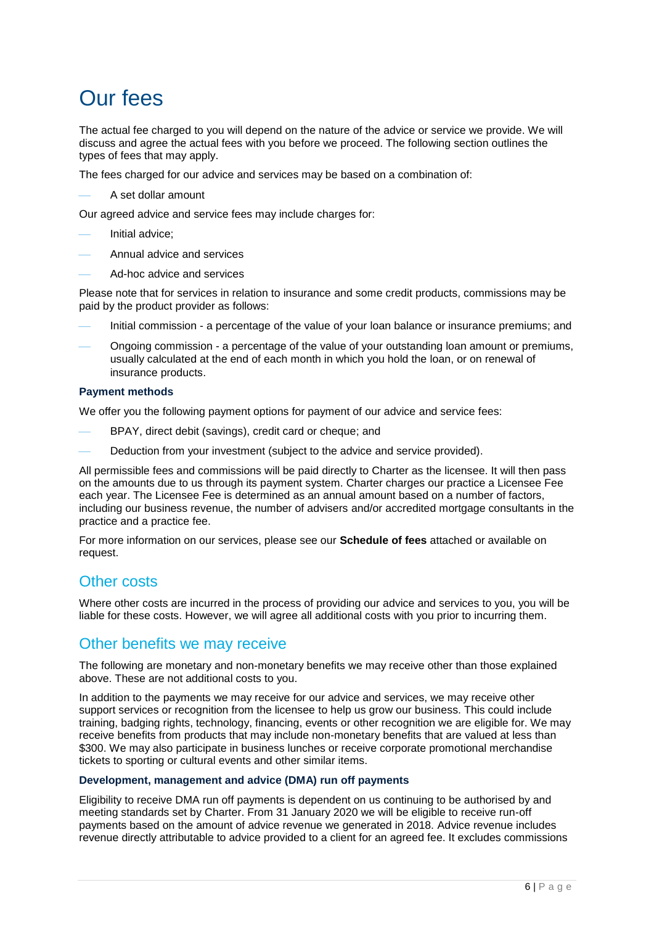## Our fees

The actual fee charged to you will depend on the nature of the advice or service we provide. We will discuss and agree the actual fees with you before we proceed. The following section outlines the types of fees that may apply.

The fees charged for our advice and services may be based on a combination of:

A set dollar amount

Our agreed advice and service fees may include charges for:

- Initial advice;
- Annual advice and services
- Ad-hoc advice and services

Please note that for services in relation to insurance and some credit products, commissions may be paid by the product provider as follows:

- Initial commission a percentage of the value of your loan balance or insurance premiums; and
- Ongoing commission a percentage of the value of your outstanding loan amount or premiums, usually calculated at the end of each month in which you hold the loan, or on renewal of insurance products.

#### **Payment methods**

We offer you the following payment options for payment of our advice and service fees:

- BPAY, direct debit (savings), credit card or cheque; and
- Deduction from your investment (subject to the advice and service provided).

All permissible fees and commissions will be paid directly to Charter as the licensee. It will then pass on the amounts due to us through its payment system. Charter charges our practice a Licensee Fee each year. The Licensee Fee is determined as an annual amount based on a number of factors, including our business revenue, the number of advisers and/or accredited mortgage consultants in the practice and a practice fee.

For more information on our services, please see our **Schedule of fees** attached or available on request.

### Other costs

Where other costs are incurred in the process of providing our advice and services to you, you will be liable for these costs. However, we will agree all additional costs with you prior to incurring them.

### Other benefits we may receive

The following are monetary and non-monetary benefits we may receive other than those explained above. These are not additional costs to you.

In addition to the payments we may receive for our advice and services, we may receive other support services or recognition from the licensee to help us grow our business. This could include training, badging rights, technology, financing, events or other recognition we are eligible for. We may receive benefits from products that may include non-monetary benefits that are valued at less than \$300. We may also participate in business lunches or receive corporate promotional merchandise tickets to sporting or cultural events and other similar items.

#### **Development, management and advice (DMA) run off payments**

Eligibility to receive DMA run off payments is dependent on us continuing to be authorised by and meeting standards set by Charter. From 31 January 2020 we will be eligible to receive run-off payments based on the amount of advice revenue we generated in 2018. Advice revenue includes revenue directly attributable to advice provided to a client for an agreed fee. It excludes commissions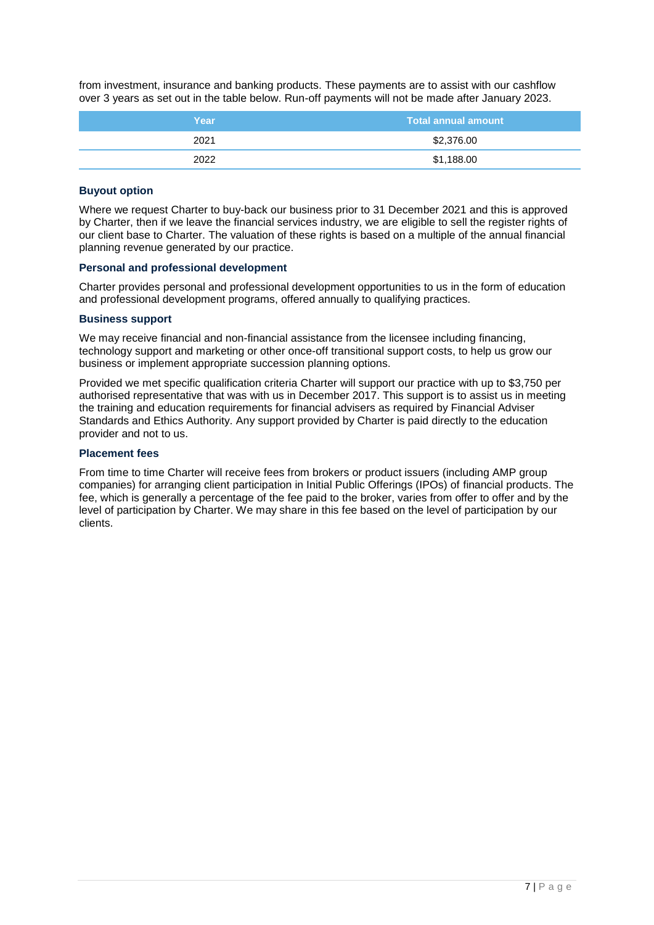from investment, insurance and banking products. These payments are to assist with our cashflow over 3 years as set out in the table below. Run-off payments will not be made after January 2023.

| Year | <b>Total annual amount</b> |  |
|------|----------------------------|--|
| 2021 | \$2,376.00                 |  |
| 2022 | \$1,188.00                 |  |

#### **Buyout option**

Where we request Charter to buy-back our business prior to 31 December 2021 and this is approved by Charter, then if we leave the financial services industry, we are eligible to sell the register rights of our client base to Charter. The valuation of these rights is based on a multiple of the annual financial planning revenue generated by our practice.

#### **Personal and professional development**

Charter provides personal and professional development opportunities to us in the form of education and professional development programs, offered annually to qualifying practices.

#### **Business support**

We may receive financial and non-financial assistance from the licensee including financing. technology support and marketing or other once-off transitional support costs, to help us grow our business or implement appropriate succession planning options.

Provided we met specific qualification criteria Charter will support our practice with up to \$3,750 per authorised representative that was with us in December 2017. This support is to assist us in meeting the training and education requirements for financial advisers as required by Financial Adviser Standards and Ethics Authority. Any support provided by Charter is paid directly to the education provider and not to us.

#### **Placement fees**

From time to time Charter will receive fees from brokers or product issuers (including AMP group companies) for arranging client participation in Initial Public Offerings (IPOs) of financial products. The fee, which is generally a percentage of the fee paid to the broker, varies from offer to offer and by the level of participation by Charter. We may share in this fee based on the level of participation by our clients.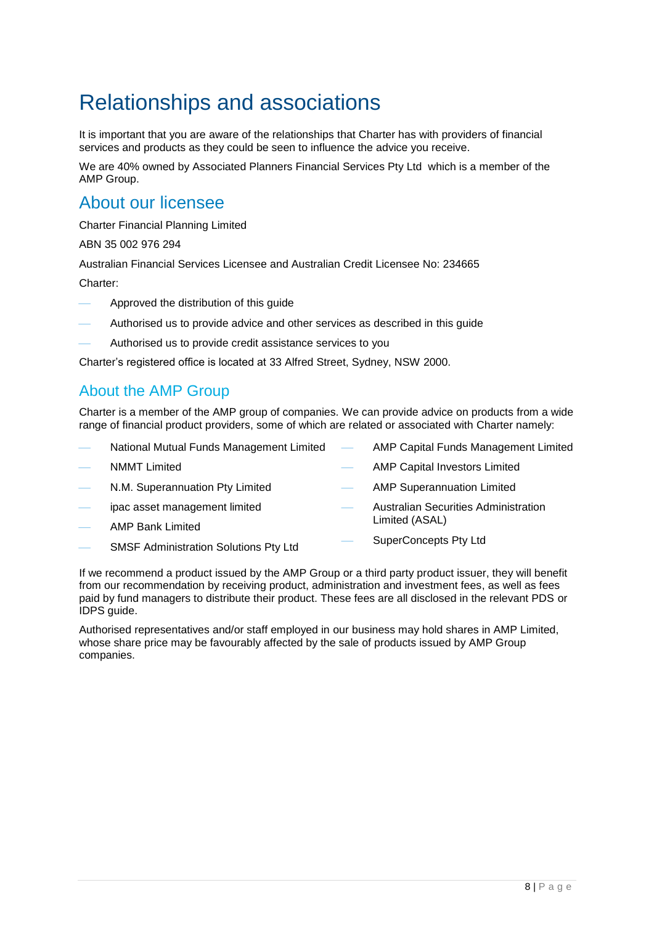# Relationships and associations

It is important that you are aware of the relationships that Charter has with providers of financial services and products as they could be seen to influence the advice you receive.

We are 40% owned by Associated Planners Financial Services Pty Ltd which is a member of the AMP Group.

### About our licensee

Charter Financial Planning Limited

ABN 35 002 976 294

Australian Financial Services Licensee and Australian Credit Licensee No: 234665

Charter:

- Approved the distribution of this guide
- Authorised us to provide advice and other services as described in this guide
- Authorised us to provide credit assistance services to you

Charter's registered office is located at 33 Alfred Street, Sydney, NSW 2000.

### About the AMP Group

Charter is a member of the AMP group of companies. We can provide advice on products from a wide range of financial product providers, some of which are related or associated with Charter namely:

- National Mutual Funds Management Limited NMMT Limited N.M. Superannuation Pty Limited ipac asset management limited AMP Capital Funds Management Limited AMP Capital Investors Limited AMP Superannuation Limited Australian Securities Administration Limited (ASAL)
- AMP Bank Limited
- SMSF Administration Solutions Pty Ltd SuperConcepts Pty Ltd

If we recommend a product issued by the AMP Group or a third party product issuer, they will benefit from our recommendation by receiving product, administration and investment fees, as well as fees paid by fund managers to distribute their product. These fees are all disclosed in the relevant PDS or IDPS guide.

Authorised representatives and/or staff employed in our business may hold shares in AMP Limited, whose share price may be favourably affected by the sale of products issued by AMP Group companies.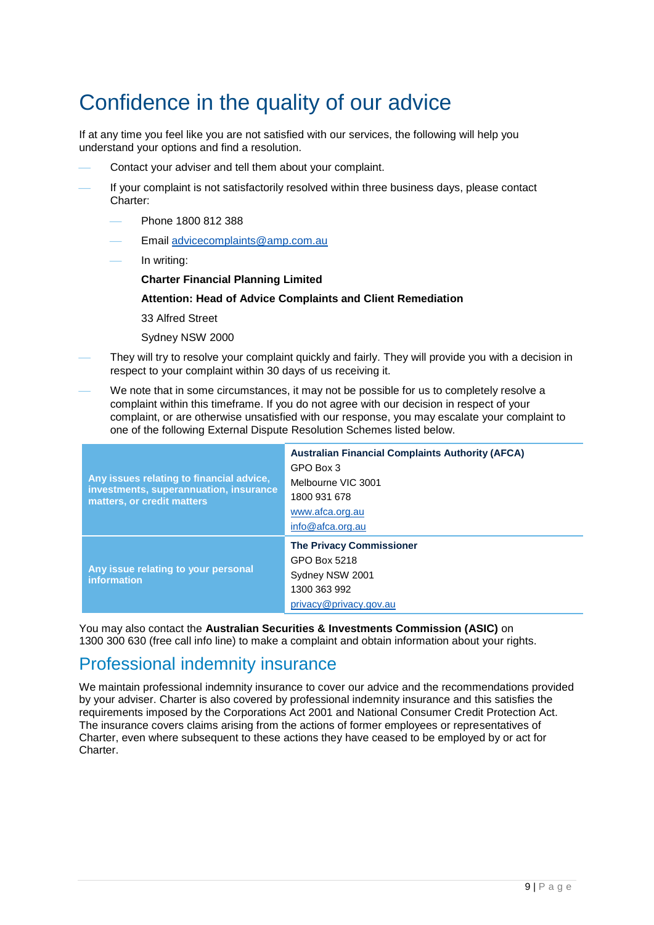# Confidence in the quality of our advice

If at any time you feel like you are not satisfied with our services, the following will help you understand your options and find a resolution.

- Contact your adviser and tell them about your complaint.
- If your complaint is not satisfactorily resolved within three business days, please contact Charter:
	- Phone 1800 812 388
	- Email [advicecomplaints@amp.com.au](mailto:advicecomplaints@amp.com.au)
	- In writing:
		- **Charter Financial Planning Limited**

#### **Attention: Head of Advice Complaints and Client Remediation**

33 Alfred Street

Sydney NSW 2000

- They will try to resolve your complaint quickly and fairly. They will provide you with a decision in respect to your complaint within 30 days of us receiving it.
- We note that in some circumstances, it may not be possible for us to completely resolve a complaint within this timeframe. If you do not agree with our decision in respect of your complaint, or are otherwise unsatisfied with our response, you may escalate your complaint to one of the following External Dispute Resolution Schemes listed below.

| Any issues relating to financial advice,<br>investments, superannuation, insurance<br>matters, or credit matters | <b>Australian Financial Complaints Authority (AFCA)</b><br>GPO Box 3<br>Melbourne VIC 3001<br>1800 931 678<br>www.afca.org.au<br>info@afca.org.au |
|------------------------------------------------------------------------------------------------------------------|---------------------------------------------------------------------------------------------------------------------------------------------------|
| Any issue relating to your personal<br><i>information</i>                                                        | <b>The Privacy Commissioner</b><br>GPO Box 5218<br>Sydney NSW 2001<br>1300 363 992<br>privacy@privacy.gov.au                                      |

You may also contact the **Australian Securities & Investments Commission (ASIC)** on 1300 300 630 (free call info line) to make a complaint and obtain information about your rights.

## Professional indemnity insurance

We maintain professional indemnity insurance to cover our advice and the recommendations provided by your adviser. Charter is also covered by professional indemnity insurance and this satisfies the requirements imposed by the Corporations Act 2001 and National Consumer Credit Protection Act. The insurance covers claims arising from the actions of former employees or representatives of Charter, even where subsequent to these actions they have ceased to be employed by or act for Charter.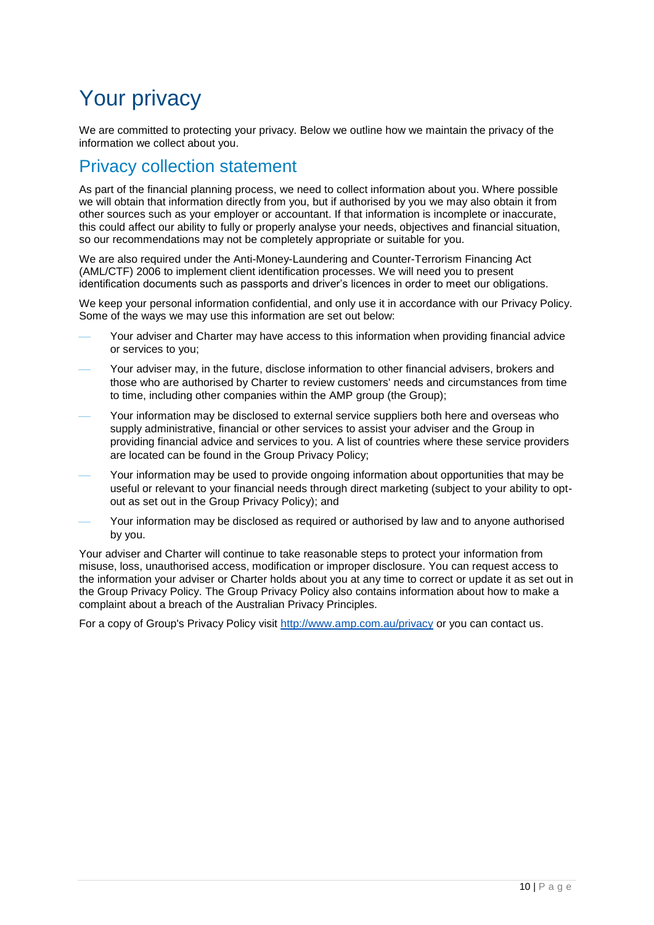# Your privacy

We are committed to protecting your privacy. Below we outline how we maintain the privacy of the information we collect about you.

## Privacy collection statement

As part of the financial planning process, we need to collect information about you. Where possible we will obtain that information directly from you, but if authorised by you we may also obtain it from other sources such as your employer or accountant. If that information is incomplete or inaccurate, this could affect our ability to fully or properly analyse your needs, objectives and financial situation, so our recommendations may not be completely appropriate or suitable for you.

We are also required under the Anti-Money-Laundering and Counter-Terrorism Financing Act (AML/CTF) 2006 to implement client identification processes. We will need you to present identification documents such as passports and driver's licences in order to meet our obligations.

We keep your personal information confidential, and only use it in accordance with our Privacy Policy. Some of the ways we may use this information are set out below:

- Your adviser and Charter may have access to this information when providing financial advice or services to you;
- Your adviser may, in the future, disclose information to other financial advisers, brokers and those who are authorised by Charter to review customers' needs and circumstances from time to time, including other companies within the AMP group (the Group);
- Your information may be disclosed to external service suppliers both here and overseas who supply administrative, financial or other services to assist your adviser and the Group in providing financial advice and services to you. A list of countries where these service providers are located can be found in the Group Privacy Policy;
- Your information may be used to provide ongoing information about opportunities that may be useful or relevant to your financial needs through direct marketing (subject to your ability to optout as set out in the Group Privacy Policy); and
- Your information may be disclosed as required or authorised by law and to anyone authorised by you.

Your adviser and Charter will continue to take reasonable steps to protect your information from misuse, loss, unauthorised access, modification or improper disclosure. You can request access to the information your adviser or Charter holds about you at any time to correct or update it as set out in the Group Privacy Policy. The Group Privacy Policy also contains information about how to make a complaint about a breach of the Australian Privacy Principles.

For a copy of Group's Privacy Policy visit <http://www.amp.com.au/privacy> or you can contact us.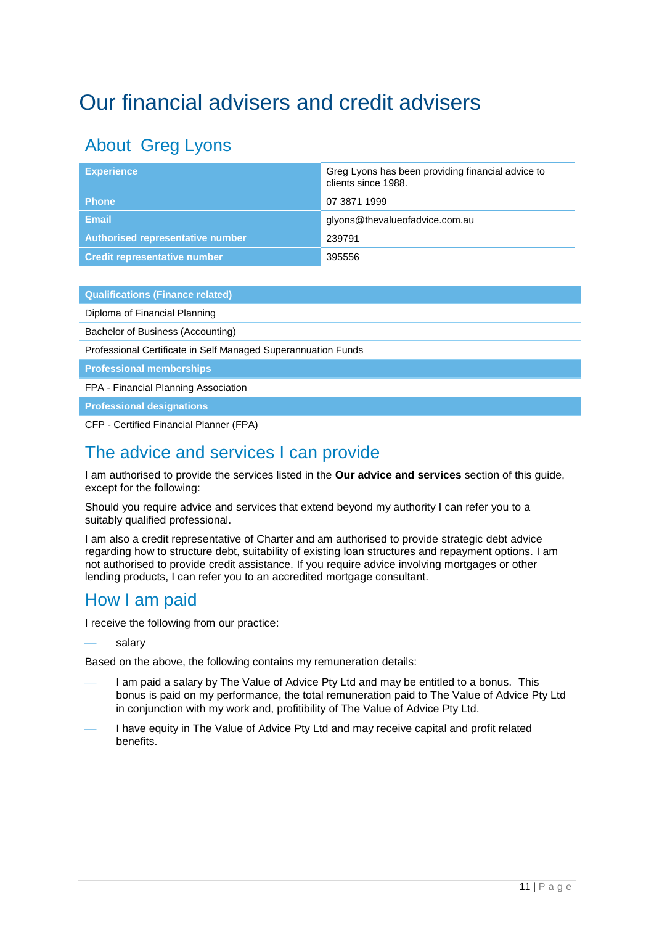# <span id="page-10-0"></span>Our financial advisers and credit advisers

## About Greg Lyons

| <b>Experience</b>                       | Greg Lyons has been providing financial advice to<br>clients since 1988. |
|-----------------------------------------|--------------------------------------------------------------------------|
| <b>Phone</b>                            | 07 3871 1999                                                             |
| Email                                   | glyons@thevalueofadvice.com.au                                           |
| <b>Authorised representative number</b> | 239791                                                                   |
| <b>Credit representative number</b>     | 395556                                                                   |

**Qualifications (Finance related)**

Diploma of Financial Planning

Bachelor of Business (Accounting)

Professional Certificate in Self Managed Superannuation Funds

**Professional memberships**

FPA - Financial Planning Association

**Professional designations**

CFP - Certified Financial Planner (FPA)

## The advice and services I can provide

I am authorised to provide the services listed in the **Our advice and services** section of this guide, except for the following:

Should you require advice and services that extend beyond my authority I can refer you to a suitably qualified professional.

I am also a credit representative of Charter and am authorised to provide strategic debt advice regarding how to structure debt, suitability of existing loan structures and repayment options. I am not authorised to provide credit assistance. If you require advice involving mortgages or other lending products, I can refer you to an accredited mortgage consultant.

## How I am paid

I receive the following from our practice:

#### salary

Based on the above, the following contains my remuneration details:

- I am paid a salary by The Value of Advice Pty Ltd and may be entitled to a bonus. This bonus is paid on my performance, the total remuneration paid to The Value of Advice Pty Ltd in conjunction with my work and, profitibility of The Value of Advice Pty Ltd.
- I have equity in The Value of Advice Pty Ltd and may receive capital and profit related benefits.